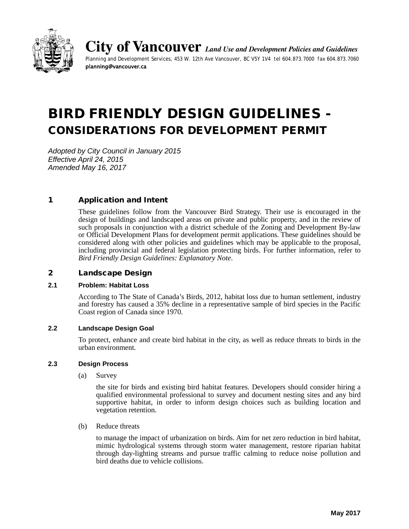

**City of Vancouver** *Land Use and Development Policies and Guidelines Planning and Development Services, 453 W. 12th Ave Vancouver, BC V5Y 1V4 tel 604.873.7000 fax 604.873.7060* planning@vancouver.ca

# BIRD FRIENDLY DESIGN GUIDELINES - CONSIDERATIONS FOR DEVELOPMENT PERMIT

*Adopted by City Council in January 2015 Effective April 24, 2015 Amended May 16, 2017*

# 1 Application and Intent

These guidelines follow from the Vancouver Bird Strategy. Their use is encouraged in the design of buildings and landscaped areas on private and public property, and in the review of such proposals in conjunction with a district schedule of the Zoning and Development By-law or Official Development Plans for development permit applications. These guidelines should be considered along with other policies and guidelines which may be applicable to the proposal, including provincial and federal legislation protecting birds. For further information, refer to *Bird Friendly Design Guidelines: Explanatory Note*.

#### 2 Landscape Design

#### **2.1 Problem: Habitat Loss**

According to The State of Canada's Birds, 2012, habitat loss due to human settlement, industry and forestry has caused a 35% decline in a representative sample of bird species in the Pacific Coast region of Canada since 1970.

#### **2.2 Landscape Design Goal**

To protect, enhance and create bird habitat in the city, as well as reduce threats to birds in the urban environment.

#### **2.3 Design Process**

(a) Survey

the site for birds and existing bird habitat features. Developers should consider hiring a qualified environmental professional to survey and document nesting sites and any bird supportive habitat, in order to inform design choices such as building location and vegetation retention.

(b) Reduce threats

to manage the impact of urbanization on birds. Aim for net zero reduction in bird habitat, mimic hydrological systems through storm water management, restore riparian habitat through day-lighting streams and pursue traffic calming to reduce noise pollution and bird deaths due to vehicle collisions.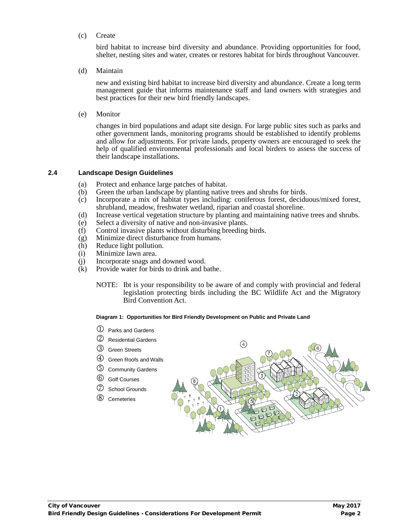(c) Create

bird habitat to increase bird diversity and abundance. Providing opportunities for food, shelter, nesting sites and water, creates or restores habitat for birds throughout Vancouver.

(d) Maintain

new and existing bird habitat to increase bird diversity and abundance. Create a long term management guide that informs maintenance staff and land owners with strategies and best practices for their new bird friendly landscapes.

(e) Monitor

changes in bird populations and adapt site design. For large public sites such as parks and other government lands, monitoring programs should be established to identify problems and allow for adjustments. For private lands, property owners are encouraged to seek the help of qualified environmental professionals and local birders to assess the success of their landscape installations.

#### **2.4 Landscape Design Guidelines**

- (a) Protect and enhance large patches of habitat.
- (b) Green the urban landscape by planting native trees and shrubs for birds.
- (c) Incorporate a mix of habitat types including: coniferous forest, deciduous/mixed forest, shrubland, meadow, freshwater wetland, riparian and coastal shoreline.
- (d) Increase vertical vegetation structure by planting and maintaining native trees and shrubs.
- (e) Select a diversity of native and non-invasive plants.
- (f) Control invasive plants without disturbing breeding birds.
- (g) Minimize direct disturbance from humans.<br>(h) Reduce light pollution.
- Reduce light pollution.
- (i) Minimize lawn area.
- (j) Incorporate snags and downed wood.<br>(k) Provide water for birds to drink and b
- Provide water for birds to drink and bathe.
	- NOTE: Ibt is your responsibility to be aware of and comply with provincial and federal legislation protecting birds including the BC Wildlife Act and the Migratory Bird Convention Act.

#### **Diagram 1: Opportunities for Bird Friendly Development on Public and Private Land**

- $\mathbb D$  Parks and Gardens
- Residential Gardens
- Green Streets
- Green Roofs and Walls
- Community Gardens
- Golf Courses
- School Grounds
- Cemeteries

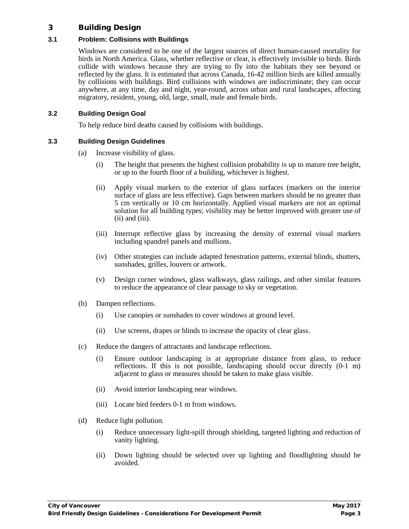# 3 Building Design

## **3.1 Problem: Collisions with Buildings**

Windows are considered to be one of the largest sources of direct human-caused mortality for birds in North America. Glass, whether reflective or clear, is effectively invisible to birds. Birds collide with windows because they are trying to fly into the habitats they see beyond or reflected by the glass. It is estimated that across Canada, 16-42 million birds are killed annually by collisions with buildings. Bird collisions with windows are indiscriminate; they can occur anywhere, at any time, day and night, year-round, across urban and rural landscapes, affecting migratory, resident, young, old, large, small, male and female birds.

## **3.2 Building Design Goal**

To help reduce bird deaths caused by collisions with buildings.

## **3.3 Building Design Guidelines**

- (a) Increase visibility of glass.
	- (i) The height that presents the highest collision probability is up to mature tree height, or up to the fourth floor of a building, whichever is highest.
	- (ii) Apply visual markers to the exterior of glass surfaces (markers on the interior surface of glass are less effective). Gaps between markers should be no greater than 5 cm vertically or 10 cm horizontally. Applied visual markers are not an optimal solution for all building types; visibility may be better improved with greater use of (ii) and (iii).
	- (iii) Interrupt reflective glass by increasing the density of external visual markers including spandrel panels and mullions.
	- (iv) Other strategies can include adapted fenestration patterns, external blinds, shutters, sunshades, grilles, louvers or artwork.
	- (v) Design corner windows, glass walkways, glass railings, and other similar features to reduce the appearance of clear passage to sky or vegetation.
- (b) Dampen reflections.
	- (i) Use canopies or sunshades to cover windows at ground level.
	- (ii) Use screens, drapes or blinds to increase the opacity of clear glass.
- (c) Reduce the dangers of attractants and landscape reflections.
	- (i) Ensure outdoor landscaping is at appropriate distance from glass, to reduce reflections. If this is not possible, landscaping should occur directly (0-1 m) adjacent to glass or measures should be taken to make glass visible.
	- (ii) Avoid interior landscaping near windows.
	- (iii) Locate bird feeders 0-1 m from windows.
- (d) Reduce light pollution.
	- (i) Reduce unnecessary light-spill through shielding, targeted lighting and reduction of vanity lighting.
	- (ii) Down lighting should be selected over up lighting and floodlighting should be avoided.